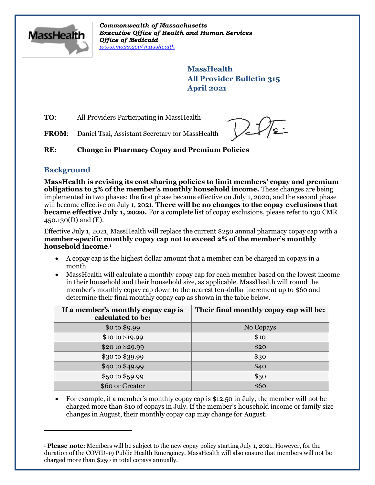

*Commonwealth of Massachusetts Executive Office of Health and Human Services Office of Medicaid [www.mass.gov/masshealth](http://www.mass.gov/masshealth)*

> **MassHealth All Provider Bulletin 315 April 2021**

**TO:** All Providers Participating in MassHealth

**FROM**: Daniel Tsai, Assistant Secretary for MassHealth

## **RE: Change in Pharmacy Copay and Premium Policies**

## **Background**

**MassHealth is revising its cost sharing policies to limit members' copay and premium obligations to 5% of the member's monthly household income.** These changes are being implemented in two phases: the first phase became effective on July 1, 2020, and the second phase will become effective on July 1, 2021. **There will be no changes to the copay exclusions that became effective July 1, 2020.** For a complete list of copay exclusions, please refer to 130 CMR 450.130(D) and (E).

Effective July 1, 2021, MassHealth will replace the current \$250 annual pharmacy copay cap with a **member-specific monthly copay cap not to exceed 2% of the member's monthly household income**. 1

- A copay cap is the highest dollar amount that a member can be charged in copays in a month.
- MassHealth will calculate a monthly copay cap for each member based on the lowest income in their household and their household size, as applicable. MassHealth will round the member's monthly copay cap down to the nearest ten-dollar increment up to \$60 and determine their final monthly copay cap as shown in the table below.

| If a member's monthly copay cap is<br>calculated to be: | Their final monthly copay cap will be: |
|---------------------------------------------------------|----------------------------------------|
| \$0 to \$9.99                                           | No Copays                              |
| \$10 to \$19.99                                         | \$10                                   |
| \$20 to \$29.99                                         | \$20                                   |
| \$30 to \$39.99                                         | \$30                                   |
| \$40 to \$49.99                                         | \$40                                   |
| \$50 to \$59.99                                         | \$50                                   |
| \$60 or Greater                                         | \$60                                   |

• For example, if a member's monthly copay cap is \$12.50 in July, the member will not be charged more than \$10 of copays in July. If the member's household income or family size changes in August, their monthly copay cap may change for August.

<sup>1</sup> **Please note**: Members will be subject to the new copay policy starting July 1, 2021. However, for the duration of the COVID-19 Public Health Emergency, MassHealth will also ensure that members will not be charged more than \$250 in total copays annually.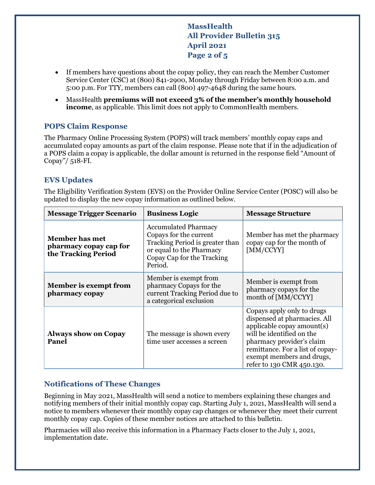**MassHealth All Provider Bulletin 315 April 2021 Page 2 of 5**

- If members have questions about the copay policy, they can reach the Member Customer Service Center (CSC) at (800) 841-2900, Monday through Friday between 8:00 a.m. and 5:00 p.m. For TTY, members can call (800) 497-4648 during the same hours.
- MassHealth **premiums will not exceed 3% of the member's monthly household income**, as applicable. This limit does not apply to CommonHealth members.

## **POPS Claim Response**

The Pharmacy Online Processing System (POPS) will track members' monthly copay caps and accumulated copay amounts as part of the claim response. Please note that if in the adjudication of a POPS claim a copay is applicable, the dollar amount is returned in the response field "Amount of Copay"/ 518-FI.

## **EVS Updates**

The Eligibility Verification System (EVS) on the Provider Online Service Center (POSC) will also be updated to display the new copay information as outlined below.

| <b>Message Trigger Scenario</b>                                        | <b>Business Logic</b>                                                                                                                                         | <b>Message Structure</b>                                                                                                                                                                                                                         |
|------------------------------------------------------------------------|---------------------------------------------------------------------------------------------------------------------------------------------------------------|--------------------------------------------------------------------------------------------------------------------------------------------------------------------------------------------------------------------------------------------------|
| <b>Member has met</b><br>pharmacy copay cap for<br>the Tracking Period | <b>Accumulated Pharmacy</b><br>Copays for the current<br>Tracking Period is greater than<br>or equal to the Pharmacy<br>Copay Cap for the Tracking<br>Period. | Member has met the pharmacy<br>copay cap for the month of<br>[MM/CCYY]                                                                                                                                                                           |
| Member is exempt from<br>pharmacy copay                                | Member is exempt from<br>pharmacy Copays for the<br>current Tracking Period due to<br>a categorical exclusion                                                 | Member is exempt from<br>pharmacy copays for the<br>month of [MM/CCYY]                                                                                                                                                                           |
| <b>Always show on Copay</b><br>Panel                                   | The message is shown every<br>time user accesses a screen                                                                                                     | Copays apply only to drugs<br>dispensed at pharmacies. All<br>applicable copay amount(s)<br>will be identified on the<br>pharmacy provider's claim<br>remittance. For a list of copay-<br>exempt members and drugs,<br>refer to 130 CMR 450.130. |

## **Notifications of These Changes**

Beginning in May 2021, MassHealth will send a notice to members explaining these changes and notifying members of their initial monthly copay cap. Starting July 1, 2021, MassHealth will send a notice to members whenever their monthly copay cap changes or whenever they meet their current monthly copay cap. Copies of these member notices are attached to this bulletin.

Pharmacies will also receive this information in a Pharmacy Facts closer to the July 1, 2021, implementation date.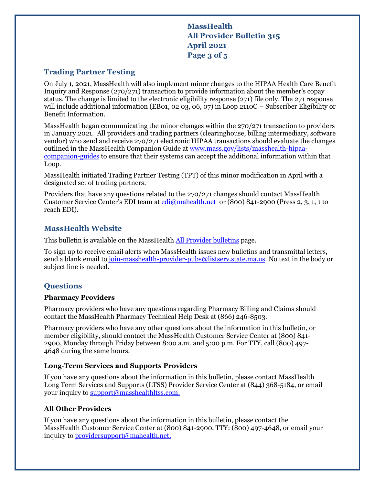**MassHealth All Provider Bulletin 315 April 2021 Page 3 of 5**

## **Trading Partner Testing**

On July 1, 2021, MassHealth will also implement minor changes to the HIPAA Health Care Benefit Inquiry and Response (270/271) transaction to provide information about the member's copay status. The change is limited to the electronic eligibility response (271) file only. The 271 response will include additional information (EB01, 02 03, 06, 07) in Loop 2110C – Subscriber Eligibility or Benefit Information.

MassHealth began communicating the minor changes within the 270/271 transaction to providers in January 2021. All providers and trading partners (clearinghouse, billing intermediary, software vendor) who send and receive 270/271 electronic HIPAA transactions should evaluate the changes outlined in the MassHealth Companion Guide at [www.mass.gov/lists/masshealth-hipaa](https://www.mass.gov/lists/masshealth-hipaa-companion-guides)[companion-guides](https://www.mass.gov/lists/masshealth-hipaa-companion-guides) to ensure that their systems can accept the additional information within that Loop.

MassHealth initiated Trading Partner Testing (TPT) of this minor modification in April with a designated set of trading partners.

Providers that have any questions related to the 270/271 changes should contact MassHealth Customer Service Center's EDI team at <u>edi</u>@mahealth.net or (800) 841-2900 (Press 2, 3, 1, 1 to reach EDI).

## **MassHealth Website**

This bulletin is available on the MassHealth [All Provider bulletins](https://www.mass.gov/lists/all-provider-bulletins) page.

To sign up to receive email alerts when MassHealth issues new bulletins and transmittal letters, send a blank email to [join-masshealth-provider-pubs@listserv.state.ma.us.](mailto:join-masshealth-provider-pubs@listserv.state.ma.us) No text in the body or subject line is needed.

## **Questions**

#### **Pharmacy Providers**

Pharmacy providers who have any questions regarding Pharmacy Billing and Claims should contact the MassHealth Pharmacy Technical Help Desk at (866) 246-8503.

Pharmacy providers who have any other questions about the information in this bulletin, or member eligibility, should contact the MassHealth Customer Service Center at (800) 841- 2900, Monday through Friday between 8:00 a.m. and 5:00 p.m. For TTY, call (800) 497- 4648 during the same hours.

#### **Long-Term Services and Supports Providers**

If you have any questions about the information in this bulletin, please contact MassHealth Long Term Services and Supports (LTSS) Provider Service Center at (844) 368-5184, or email your inquiry to [support@masshealthltss.com.](mailto:support@masshealthltss.comt)

## **All Other Providers**

If you have any questions about the information in this bulletin, please contact the MassHealth Customer Service Center at (800) 841-2900, TTY: (800) 497-4648, or email your inquiry to [providersupport@mahealth.net.](mailto:providersupport@mahealth.net)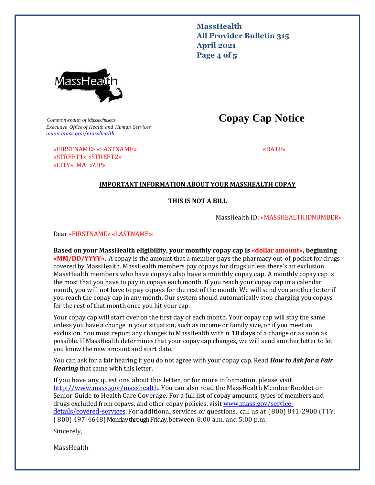**MassHealth All Provider Bulletin 315 April 2021 Page 4 of 5**



*Commonwealth of Massachusetts* **Copay Cap Notice** *Executive Office of Health and Human Services [www.mass.gov/masshealth](http://www.mass.gov/masshealth)*

«FIRSTNAME» «LASTNAME» «DATE»

## «STREET1» «STREET2» «CITY», MA «ZIP»

## **IMPORTANT INFORMATION ABOUT YOUR MASSHEALTH COPAY**

#### **THIS IS NOT A BILL**

MassHealth ID: «MASSHEALTHIDNUMBER»

Dear «FIRSTNAME» «LASTNAME»:

**Based on your MassHealth eligibility, your monthly copay cap is «dollar amount», beginning «MM/DD/YYYY».** A copay is the amount that a member pays the pharmacy out-of-pocket for drugs covered by MassHealth. MassHealth members pay copays for drugs unless there's an exclusion. MassHealth members who have copays also have a monthly copay cap. A monthly copay cap is the most that you have to pay in copays each month. If you reach your copay cap in a calendar month, you will not have to pay copays for the rest of the month. We will send you another letter if you reach the copay cap in any month. Our system should automatically stop charging you copays for the rest of that month once you hit your cap.

Your copay cap will start over on the first day of each month. Your copay cap will stay the same unless you have a change in your situation, such as income or family size, or if you meet an exclusion. You must report any changes to MassHealth within **10 days** of a change or as soon as possible. If MassHealth determines that your copay cap changes, we will send another letter to let you know the new amount and start date.

You can ask for a fair hearing if you do not agree with your copay cap. Read *How to Ask for a Fair Hearing* that came with this letter.

If you have any questions about this letter, or for more information, please visit [http://www.mass.gov/masshealth.](http://http/www.mass.gov/masshealth) You can also read the MassHealth Member Booklet or Senior Guide to Health Care Coverage. For a full list of copay amounts, types of members and drugs excluded from copays, and other copay policies, visit [www.mass.gov/service](file:///C:/Users/acollas/AppData/Local/Microsoft/Windows/INetCache/Content.Outlook/JZ3TR2RX/www.mass.gov/service-details/covered-services)[details/covered-services](file:///C:/Users/acollas/AppData/Local/Microsoft/Windows/INetCache/Content.Outlook/JZ3TR2RX/www.mass.gov/service-details/covered-services). For additional services or questions, call us at (800) 841-2900 (TTY: ( 800) 497-4648)Monday through Friday, between 8:00 a.m. and 5:00 p.m.

Sincerely,

MassHealth